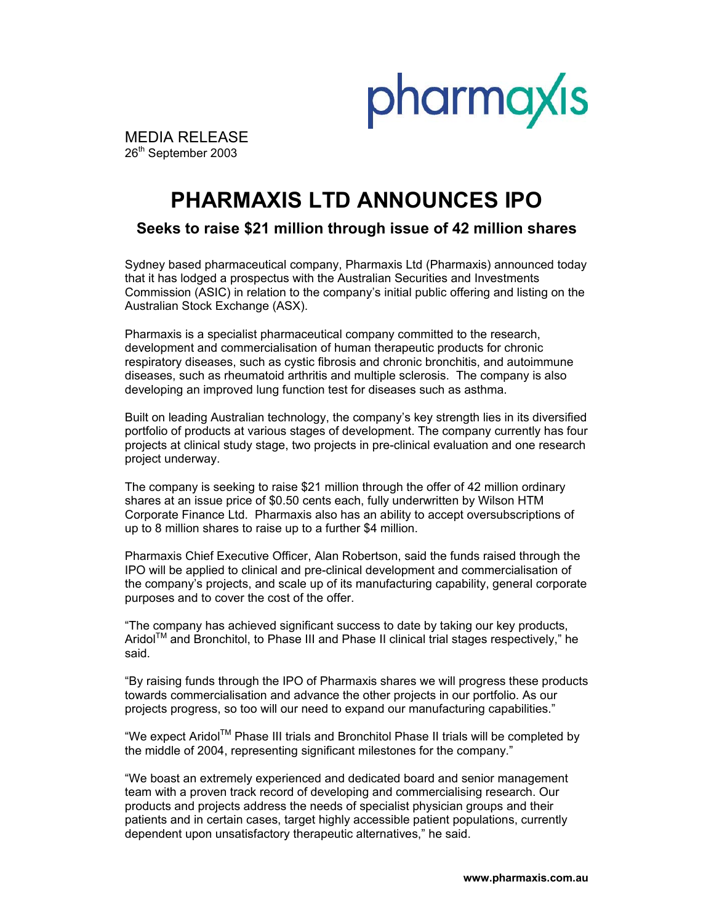

MEDIA RELEASE 26th September 2003

# **PHARMAXIS LTD ANNOUNCES IPO**

## **Seeks to raise \$21 million through issue of 42 million shares**

Sydney based pharmaceutical company, Pharmaxis Ltd (Pharmaxis) announced today that it has lodged a prospectus with the Australian Securities and Investments Commission (ASIC) in relation to the company's initial public offering and listing on the Australian Stock Exchange (ASX).

Pharmaxis is a specialist pharmaceutical company committed to the research, development and commercialisation of human therapeutic products for chronic respiratory diseases, such as cystic fibrosis and chronic bronchitis, and autoimmune diseases, such as rheumatoid arthritis and multiple sclerosis. The company is also developing an improved lung function test for diseases such as asthma.

Built on leading Australian technology, the company's key strength lies in its diversified portfolio of products at various stages of development. The company currently has four projects at clinical study stage, two projects in pre-clinical evaluation and one research project underway.

The company is seeking to raise \$21 million through the offer of 42 million ordinary shares at an issue price of \$0.50 cents each, fully underwritten by Wilson HTM Corporate Finance Ltd. Pharmaxis also has an ability to accept oversubscriptions of up to 8 million shares to raise up to a further \$4 million.

Pharmaxis Chief Executive Officer, Alan Robertson, said the funds raised through the IPO will be applied to clinical and pre-clinical development and commercialisation of the company's projects, and scale up of its manufacturing capability, general corporate purposes and to cover the cost of the offer.

"The company has achieved significant success to date by taking our key products, AridolTM and Bronchitol, to Phase III and Phase II clinical trial stages respectively," he said.

"By raising funds through the IPO of Pharmaxis shares we will progress these products towards commercialisation and advance the other projects in our portfolio. As our projects progress, so too will our need to expand our manufacturing capabilities."

"We expect AridolTM Phase III trials and Bronchitol Phase II trials will be completed by the middle of 2004, representing significant milestones for the company."

"We boast an extremely experienced and dedicated board and senior management team with a proven track record of developing and commercialising research. Our products and projects address the needs of specialist physician groups and their patients and in certain cases, target highly accessible patient populations, currently dependent upon unsatisfactory therapeutic alternatives," he said.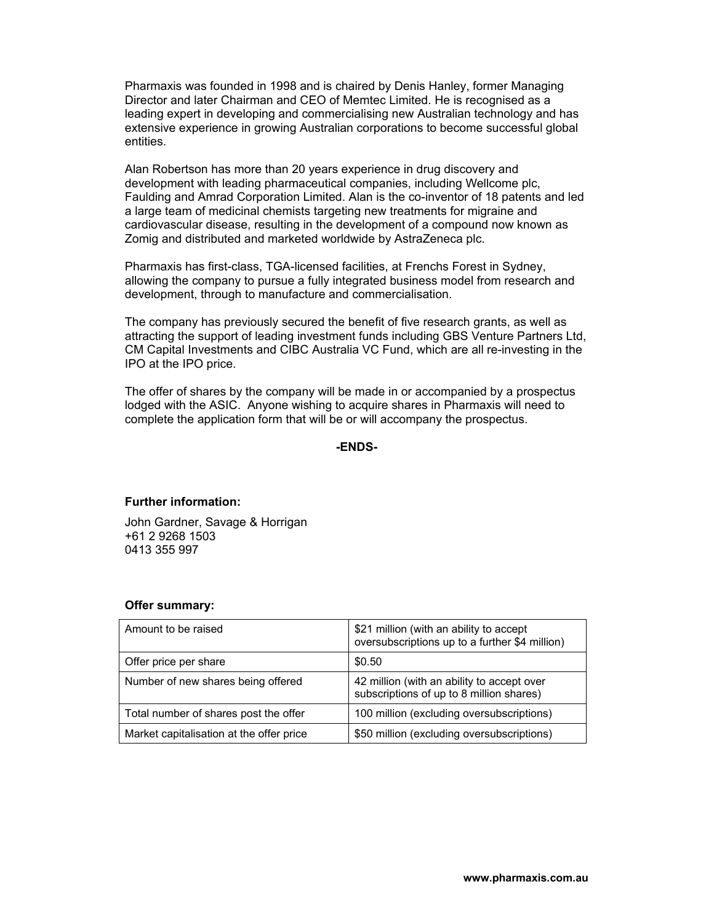Pharmaxis was founded in 1998 and is chaired by Denis Hanley, former Managing Director and later Chairman and CEO of Memtec Limited. He is recognised as a leading expert in developing and commercialising new Australian technology and has extensive experience in growing Australian corporations to become successful global entities.

Alan Robertson has more than 20 years experience in drug discovery and development with leading pharmaceutical companies, including Wellcome plc, Faulding and Amrad Corporation Limited. Alan is the co-inventor of 18 patents and led a large team of medicinal chemists targeting new treatments for migraine and cardiovascular disease, resulting in the development of a compound now known as Zomig and distributed and marketed worldwide by AstraZeneca plc.

Pharmaxis has first-class, TGA-licensed facilities, at Frenchs Forest in Sydney, allowing the company to pursue a fully integrated business model from research and development, through to manufacture and commercialisation.

The company has previously secured the benefit of five research grants, as well as attracting the support of leading investment funds including GBS Venture Partners Ltd, CM Capital Investments and CIBC Australia VC Fund, which are all re-investing in the IPO at the IPO price.

The offer of shares by the company will be made in or accompanied by a prospectus lodged with the ASIC. Anyone wishing to acquire shares in Pharmaxis will need to complete the application form that will be or will accompany the prospectus.

**-ENDS-**

#### **Further information:**

John Gardner, Savage & Horrigan +61 2 9268 1503 0413 355 997

#### **Offer summary:**

| Amount to be raised                      | \$21 million (with an ability to accept<br>oversubscriptions up to a further \$4 million) |
|------------------------------------------|-------------------------------------------------------------------------------------------|
| Offer price per share                    | \$0.50                                                                                    |
| Number of new shares being offered       | 42 million (with an ability to accept over<br>subscriptions of up to 8 million shares)    |
| Total number of shares post the offer    | 100 million (excluding oversubscriptions)                                                 |
| Market capitalisation at the offer price | \$50 million (excluding oversubscriptions)                                                |